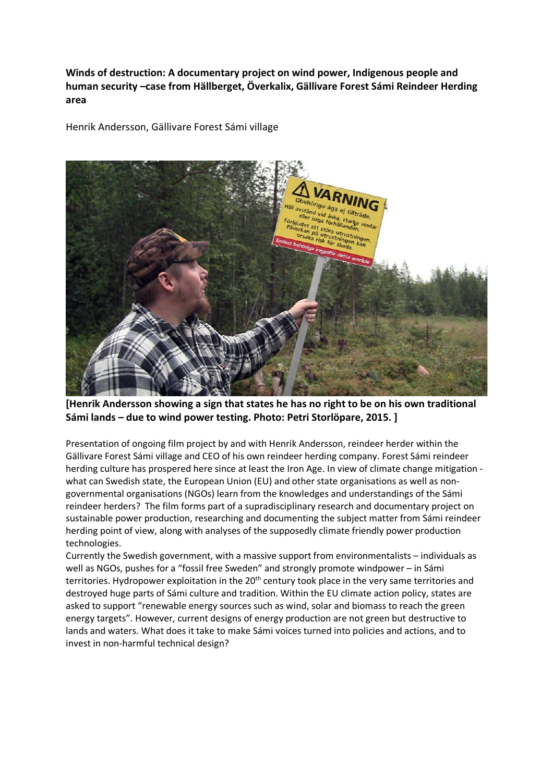**Winds of destruction: A documentary project on wind power, Indigenous people and human security –case from Hällberget, Överkalix, Gällivare Forest Sámi Reindeer Herding area**

Henrik Andersson, Gällivare Forest Sámi village



**[Henrik Andersson showing a sign that states he has no right to be on his own traditional Sámi lands – due to wind power testing. Photo: Petri Storlöpare, 2015. ]** 

Presentation of ongoing film project by and with Henrik Andersson, reindeer herder within the Gällivare Forest Sámi village and CEO of his own reindeer herding company. Forest Sámi reindeer herding culture has prospered here since at least the Iron Age. In view of climate change mitigation what can Swedish state, the European Union (EU) and other state organisations as well as nongovernmental organisations (NGOs) learn from the knowledges and understandings of the Sámi reindeer herders? The film forms part of a supradisciplinary research and documentary project on sustainable power production, researching and documenting the subject matter from Sámi reindeer herding point of view, along with analyses of the supposedly climate friendly power production technologies.

Currently the Swedish government, with a massive support from environmentalists – individuals as well as NGOs, pushes for a "fossil free Sweden" and strongly promote windpower – in Sámi territories. Hydropower exploitation in the 20<sup>th</sup> century took place in the very same territories and destroyed huge parts of Sámi culture and tradition. Within the EU climate action policy, states are asked to support "renewable energy sources such as wind, solar and biomass to reach the green energy targets". However, current designs of energy production are not green but destructive to lands and waters. What does it take to make Sámi voices turned into policies and actions, and to invest in non-harmful technical design?